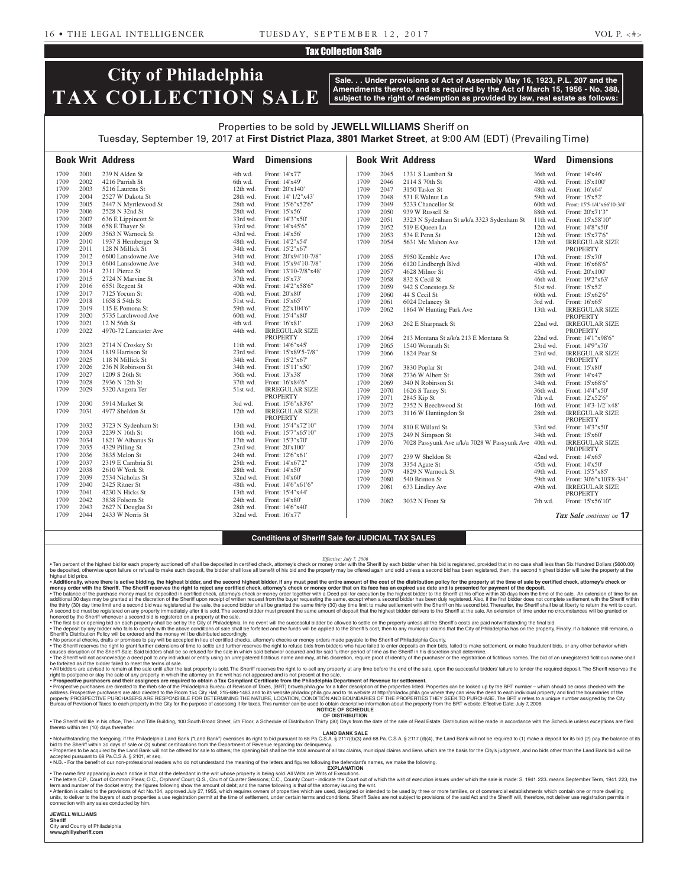### Tax Collection Sale

# **City of Philadelphia TAX COLLECTION SALE**

**Sale. . . Under provisions of Act of Assembly May 16, 1923, P.L. 207 and the Amendments thereto, and as required by the Act of March 15, 1956 - No. 388, subject to the right of redemption as provided by law, real estate as follows:**

# Properties to be sold by **JEWELL WILLIAMS** Sheriff on Tuesday, September 19, 2017 at **First District Plaza, 3801 Market Street**, at 9:00 AM (EDT) (Prevailing Time)

|      |      | <b>Book Writ Address</b>              | <b>Ward</b>            | <b>Dimensions</b>                   |      |      | <b>Book Writ Address</b>                             | <b>Ward</b> | <b>Dimensions</b>                        |
|------|------|---------------------------------------|------------------------|-------------------------------------|------|------|------------------------------------------------------|-------------|------------------------------------------|
| 1709 | 2001 | 239 N Alden St                        | 4th wd.                | Front: 14'x77'                      | 1709 | 2045 | 1331 S Lambert St                                    | 36th wd.    | Front: 14'x46'                           |
| 1709 | 2002 | 4216 Parrish St                       | 6th wd.                | Front: 14'x49'                      | 1709 | 2046 | 2114 S 70th St                                       | 40th wd.    | Front: 15'x100'                          |
| 1709 | 2003 | 5216 Laurens St                       | 12th wd.               | Front: 20'x140'                     | 1709 | 2047 | 3150 Tasker St                                       | 48th wd.    | Front: 16'x64'                           |
| 1709 | 2004 | 2527 W Dakota St                      | 28th wd.               | Front: 14' 1/2"x43'                 | 1709 | 2048 | 531 E Walnut Ln                                      | 59th wd.    | Front: 15'x52'                           |
| 1709 | 2005 | 2447 N Myrtlewood St                  | 28th wd.               | Front: 15'6"x52'6"                  | 1709 | 2049 | 5233 Chancellor St                                   | 60th wd.    | Front: 15'5-1/4"x66'10-3/4"              |
| 1709 | 2006 | 2528 N 32nd St                        | 28th wd.               | Front: 15'x56'                      | 1709 | 2050 | 939 W Russell St                                     | 88th wd.    | Front: 20'x71'3"                         |
| 1709 | 2007 | 636 E Lippincott St                   | 33rd wd.               | Front: 14'3"x50"                    | 1709 | 2051 | 3323 N Sydenham St a/k/a 3323 Sydenham St            | 11th wd.    | Front: 15'x58'10"                        |
| 1709 | 2008 | 658 E Thayer St                       | 33rd wd.               | Front: 14'x45'6"                    | 1709 | 2052 | 519 E Queen Ln                                       | 12th wd.    | Front: 14'8"x50"                         |
| 1709 | 2009 | 3563 N Warnock St                     | 43rd wd.               | Front: 14'x56'                      | 1709 | 2053 | 534 E Penn St                                        | $12th$ wd.  | Front: 15'x77'6"                         |
| 1709 | 2010 | 1937 S Hemberger St                   | 48th wd.               | Front: 14'2"x54'                    | 1709 | 2054 | 5631 Mc Mahon Ave                                    | 12th wd.    | <b>IRREGULAR SIZE</b>                    |
| 1709 | 2011 | 128 N Millick St                      | 34th wd.               | Front: 15'2"x67'                    |      |      |                                                      |             | <b>PROPERTY</b>                          |
| 1709 | 2012 | 6600 Lansdowne Ave                    | 34th wd.               | Front: 20'x94'10-7/8"               | 1709 | 2055 | 5950 Kemble Ave                                      | 17th wd.    | Front: 15'x70'                           |
| 1709 | 2013 | 6604 Lansdowne Ave                    | 34th wd.               | Front: 15'x94'10-7/8"               | 1709 | 2056 | 6120 Lindbergh Blvd                                  | 40th wd.    | Front: 16'x68'6"                         |
| 1709 | 2014 | 2311 Pierce St                        | 36th wd.               | Front: 13'10-7/8"x48"               | 1709 | 2057 | 4628 Milnor St                                       | 45th wd.    | Front: 20'x100'                          |
| 1709 | 2015 | 2724 N Marvine St                     | 37th wd.               | Front: 15'x73'                      | 1709 | 2058 | 832 S Cecil St                                       | 46th wd.    | Front: 19'2"x63"                         |
| 1709 | 2016 | 6551 Regent St                        | 40th wd.               | Front: 14'2"x58'6"                  | 1709 | 2059 | 942 S Conestoga St                                   | 51st wd.    | Front: 15'x52'                           |
| 1709 | 2017 | 7125 Yocum St                         | 40th wd.               | Front: 20'x80'                      | 1709 | 2060 | 44 S Cecil St                                        | 60th wd.    | Front: 15'x62'6"                         |
| 1709 | 2018 | 1658 S 54th St                        | 51st wd.               | Front: 15'x65'                      | 1709 | 2061 | 6024 Delancey St                                     | 3rd wd.     | Front: 16'x65'                           |
| 1709 | 2019 | 115 E Pomona St                       | 59th wd.               | Front: 22'x104'6"                   | 1709 | 2062 | 1864 W Hunting Park Ave                              | 13th wd.    | <b>IRREGULAR SIZE</b>                    |
| 1709 | 2020 | 5735 Larchwood Ave                    | 60th wd.               | Front: 15'4"x80"                    |      |      |                                                      |             | <b>PROPERTY</b>                          |
| 1709 | 2021 | 12 N 56th St                          | 4th wd.                | Front: 16'x81                       | 1709 | 2063 | 262 E Sharpnack St                                   | 22nd wd.    | <b>IRREGULAR SIZE</b>                    |
| 1709 | 2022 | 4970-72 Lancaster Ave                 | 44th wd.               | <b>IRREGULAR SIZE</b>               |      |      |                                                      |             | <b>PROPERTY</b>                          |
| 1709 | 2023 |                                       |                        | <b>PROPERTY</b><br>Front: 14'6"x45' | 1709 | 2064 | 213 Montana St a/k/a 213 E Montana St                | 22nd wd.    | Front: 14'1"x98'6"                       |
| 1709 | 2024 | 2714 N Croskey St<br>1819 Harrison St | $11th$ wd.<br>23rd wd. | Front: 15'x89'5-7/8"                | 1709 | 2065 | 1540 Womrath St                                      | 23rd wd.    | Front: 14'9"x76'                         |
| 1709 | 2025 | 118 N Millick St                      | 34th wd.               | Front: 15'2"x67'                    | 1709 | 2066 | 1824 Pear St                                         | 23rd wd.    | <b>IRREGULAR SIZE</b><br><b>PROPERTY</b> |
| 1709 | 2026 | 236 N Robinson St                     | 34th wd.               | Front: 15'11"x50'                   | 1709 | 2067 | 3830 Poplar St                                       | 24th wd.    | Front: 15'x80'                           |
| 1709 | 2027 | 1209 S 26th St                        | 36th wd.               | Front: 13'x38'                      | 1709 | 2068 | 2736 W Albert St                                     | 28th wd.    | Front: 14'x47'                           |
| 1709 | 2028 | 2936 N 12th St                        | 37th wd.               | Front: 16'x84'6"                    | 1709 | 2069 | 340 N Robinson St                                    | 34th wd.    | Front: 15'x68'6"                         |
| 1709 | 2029 | 5320 Angora Ter                       | 51st wd.               | <b>IRREGULAR SIZE</b>               | 1709 | 2070 | 1626 S Taney St                                      | 36th wd.    | Front: 14'4"x50"                         |
|      |      |                                       |                        | <b>PROPERTY</b>                     | 1709 | 2071 | 2845 Kip St                                          | 7th wd.     | Front: 12'x52'6"                         |
| 1709 | 2030 | 5914 Market St                        | 3rd wd.                | Front: 15'6"x83'6"                  | 1709 | 2072 | 2352 N Beechwood St                                  | 16th wd.    | Front: 14'3-1/2"x48'                     |
| 1709 | 2031 | 4977 Sheldon St                       | 12th wd.               | <b>IRREGULAR SIZE</b>               | 1709 | 2073 | 3116 W Huntingdon St                                 | 28th wd.    | <b>IRREGULAR SIZE</b>                    |
|      |      |                                       |                        | <b>PROPERTY</b>                     |      |      |                                                      |             | PROPERTY                                 |
| 1709 | 2032 | 3723 N Sydenham St                    | 13th wd.               | Front: 15'4"x72'10"                 | 1709 | 2074 | 810 E Willard St                                     | 33rd wd.    | Front: 14'3"x50"                         |
| 1709 | 2033 | 2239 N 16th St                        | 16th wd.               | Front: 15'7"x65'10"                 | 1709 | 2075 | 249 N Simpson St                                     | 34th wd.    | Front: 15'x60'                           |
| 1709 | 2034 | 1821 W Albanus St                     | $17th$ wd.             | Front: 15'3"x70"                    | 1709 | 2076 | 7028 Passyunk Ave a/k/a 7028 W Passyunk Ave 40th wd. |             | <b>IRREGULAR SIZE</b>                    |
| 1709 | 2035 | 4329 Pilling St                       | 23rd wd.               | Front: 20'x100'                     |      |      |                                                      |             | <b>PROPERTY</b>                          |
| 1709 | 2036 | 3835 Melon St                         | 24th wd.               | Front: 12'6"x61"                    | 1709 | 2077 | 239 W Sheldon St                                     | 42nd wd.    | Front: 14'x65'                           |
| 1709 | 2037 | 2319 E Cambria St                     | 25th wd.               | Front: 14'x67'2"                    | 1709 | 2078 | 3354 Agate St                                        | 45th wd.    | Front: 14'x50'                           |
| 1709 | 2038 | 2610 W York St                        | 28th wd.               | Front: 14'x50'                      | 1709 | 2079 | 4829 N Warnock St                                    | 49th wd.    | Front: 15'5"x85"                         |
| 1709 | 2039 | 2534 Nicholas St                      | 32nd wd.               | Front: 14'x60'                      | 1709 | 2080 | 540 Brinton St                                       | 59th wd.    | Front: 30'6"x103'8-3/4"                  |
| 1709 | 2040 | 2425 Ritner St                        | 48th wd.               | Front: 14'6"x61'6"                  | 1709 | 2081 | 633 Lindley Ave                                      | 49th wd.    | <b>IRREGULAR SIZE</b>                    |
| 1709 | 2041 | 4230 N Hicks St                       | 13th wd.               | Front: 15'4"x44'                    |      |      |                                                      |             | PROPERTY                                 |
| 1709 | 2042 | 3838 Folsom St                        | 24th wd.               | Front: 14'x80'                      | 1709 | 2082 | 3032 N Front St                                      | 7th wd.     | Front: 15'x56'10"                        |
| 1709 | 2043 | 2627 N Douglas St                     | 28th wd.               | Front: 14'6"x40'                    |      |      |                                                      |             |                                          |
| 1709 | 2044 | 2433 W Norris St                      | 32nd wd.               | Front: 16'x77'                      |      |      |                                                      |             | Tax Sale continues on 17                 |

#### **Conditions of Sheriff Sale for JUDICIAL TAX SALES**

*Effective: July 7, 2006*

. Ten percent of the highest bid for each property auctioned off shall be deposited in certified check, attorney's check or money order with the Sheriff by each bidder when his bid is registered, provided that in no case s be deposited, otherwise upon failure or refusal to make such deposit, the bidder shall lose all benefit of his bid and the property may be offered again and sold unless a second bid has been registered, then, the second hi highest bid price.

. Additionally, where there is active bidding, the highest bidder, and the second highest bidder, if any must post the entire amount of the cost of the distribution policy for the property at the time of sale by certified money order with the Sheriff. The Sheriff reserves the right to reject any certified check, attorney's check or money order that on its face has an expired use date and is presented for payment of the deposit.<br>• The balanc

additional 30 days may be granted at the discretion of the Sheriff upon receipt of written request from the buyer requesting the same, except when a second bidder has been duly registered. Also, if the first bidder does no the thirty (30) day time limit and a second bid was registered at the sale, the second bidder shall be granted the same amount of deposit that the hist to make settlement with the Sheriff at his second bid. Thereafter, the honored by the Sheriff whenever a second bid is registered on a property at the sale.

• The first bid or opening bid on each property shall be set by the City of Philadelphia. In no event will the successful bidder be allowed to settle on the property unless all the Sheriff's costs are paid notwithstanding

Sheriff's Distribution Policy will be ordered and the money will be distributed accordingly.<br>• No personal checks, drament in the property and the will be accepted in lieu of certified checks, attorney's checks or money o

causes disruption of the Sheriff Sale. Said bidders shall be so refused for the sale in which said behavior occurred and for said further period of time as the Sheriff in his discretion shall determine.<br>• The Sheriff will

be forfeited as if the bidder failed to meet the terms of sale.

∙ All bidders are advised to remain at the sale until after the last property is sold. The Sheriff reserves the right to re-sell any property at any time before the end of the sale, upon the successful bidders' failure to

• Prospective purchasers are directed to the Web site of the Philadelphia Bureau of Revision of Taxes, (BRT) brtweb.phila.gov for a fuller description of the properties listed. Properties can be looked up by the BRT number property. PROSPECTIVE PURCHASERS ARE RESPONSIBLE FOR DETERMINING THE NATURE, LOCATION, CONDITION AND BOUNDARIES OF THE PROPERTIES THEY SEEK TO PURCHASE. The BRT # refers to a unique number assigned by the City Bureau of Revision of Taxes to each property in the City for the purpose of assessing it for taxes. This number can be used to obtain descriptive information about the property from the BRT website. Effective Date: July 7,

#### **OF DISTRIBUTION**

. The Sheriff will file in his office, The Land Title Building, 100 South Broad Street, 5th Floor, a Schedule of Distribution Thirty (30) Days from the date of the sale of Real Estate. Distribution will be made in accordan thereto within ten (10) days thereafter.

#### **LAND BANK SALE**

oing, if the Philadelphia Land Bank ("Land Bank") exercises its right to bid pursuant to 68 Pa.C.S.A.§ 2117(d)(3) and 68 Pa. C.S.A.§ 2117 (d)(4), bid to the Sheriff within 30 days of sale or (3) submit certifications from the Department of Revenue regarding tax delinquency. • Properties to be acquired by the Land Bank will not be offered for sale to others; the opening bid shall be the total amount of all tax claims, municipal claims and liens which are the basis for the City's judgment, and

• N.B. - For the benefit of our non-professional readers who do not understand the meaning of the letters and figures following the defendant's names, we make the following. **EXPLANATION** 

• The name first appearing in each notice is that of the defendant in the writ whose property is being sold. All Writs are Writs of Executions

• The letters C.P. Court of Common Pleas: O.C. Orphans' Court: O.S. Court of Quarter Sessions: C.C. County Court - indicate the Court out of which the writ of sescultion issues under which the sale is made: S. 1941.223 mea

term and number of the docket entry; the figures following show the amount of debt; and the name following is that of the attorney issuing the writ.<br>• Attention is called to the provisions of Act No.104, approved July 27, units, to deliver to the buyers of such properties a use registration permit at the time of settlement, under certain terms and conditions. Sheriff Sales are not subject to provisions of the said Act and the Sheriff Will, connection with any sales conducted by him.

**JEWELL WILLIAMS** 

**Sheriff**  City and County of Philadelphia

**www.phillysheriff.com**